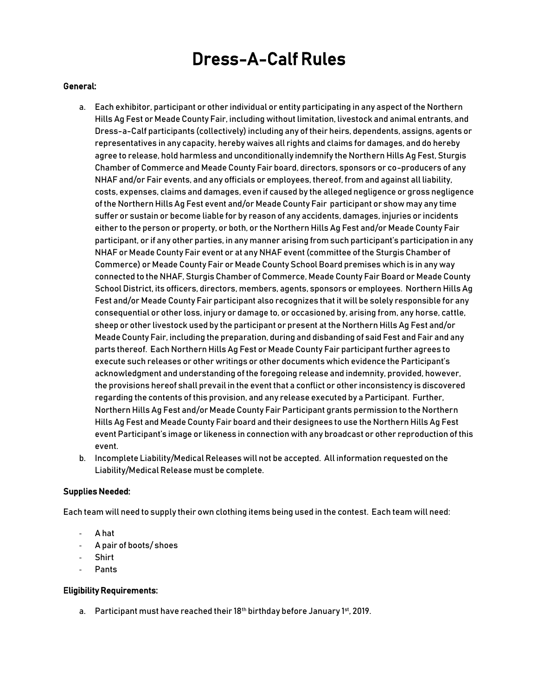# Dress-A-Calf Rules

#### General:

- a. Each exhibitor, participant or other individual or entity participating in any aspect of the Northern Hills Ag Fest or Meade County Fair, including without limitation, livestock and animal entrants, and Dress-a-Calf participants (collectively) including any of their heirs, dependents, assigns, agents or representatives in any capacity, hereby waives all rights and claims for damages, and do hereby agree to release, hold harmless and unconditionally indemnify the Northern Hills Ag Fest, Sturgis Chamber of Commerce and Meade County Fair board, directors, sponsors or co-producers of any NHAF and/or Fair events, and any officials or employees, thereof, from and against all liability, costs, expenses, claims and damages, even if caused by the alleged negligence or gross negligence of the Northern Hills Ag Fest event and/or Meade County Fair participant or show may any time suffer or sustain or become liable for by reason of any accidents, damages, injuries or incidents either to the person or property, or both, or the Northern Hills Ag Fest and/or Meade County Fair participant, or if any other parties, in any manner arising from such participant's participation in any NHAF or Meade County Fair event or at any NHAF event (committee of the Sturgis Chamber of Commerce) or Meade County Fair or Meade County School Board premises which is in any way connected to the NHAF, Sturgis Chamber of Commerce, Meade County Fair Board or Meade County School District, its officers, directors, members, agents, sponsors or employees. Northern Hills Ag Fest and/or Meade County Fair participant also recognizes that it will be solely responsible for any consequential or other loss, injury or damage to, or occasioned by, arising from, any horse, cattle, sheep or other livestock used by the participant or present at the Northern Hills Ag Fest and/or Meade County Fair, including the preparation, during and disbanding of said Fest and Fair and any parts thereof. Each Northern Hills Ag Fest or Meade County Fair participant further agrees to execute such releases or other writings or other documents which evidence the Participant's acknowledgment and understanding of the foregoing release and indemnity, provided, however, the provisions hereof shall prevail in the event that a conflict or other inconsistency is discovered regarding the contents of this provision, and any release executed by a Participant. Further, Northern Hills Ag Fest and/or Meade County Fair Participant grants permission to the Northern Hills Ag Fest and Meade County Fair board and their designees to use the Northern Hills Ag Fest event Participant's image or likeness in connection with any broadcast or other reproduction of this event.
- b. Incomplete Liability/Medical Releases will not be accepted. All information requested on the Liability/Medical Release must be complete.

### Supplies Needed:

Each team will need to supply their own clothing items being used in the contest. Each team will need:

- A hat
- A pair of boots/ shoes
- Shirt
- **Pants**

#### Eligibility Requirements:

a. Participant must have reached their 18<sup>th</sup> birthday before January 1<sup>st</sup>, 2019.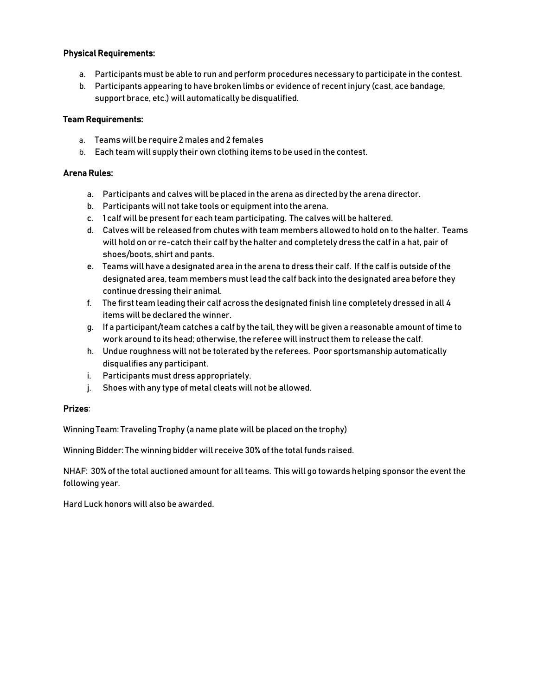# Physical Requirements:

- a. Participants must be able to run and perform procedures necessary to participate in the contest.
- b. Participants appearing to have broken limbs or evidence of recent injury (cast, ace bandage, support brace, etc.) will automatically be disqualified.

# Team Requirements:

- a. Teams will be require 2 males and 2 females
- b. Each team will supply their own clothing items to be used in the contest.

# Arena Rules:

- a. Participants and calves will be placed in the arena as directed by the arena director.
- b. Participants will not take tools or equipment into the arena.
- c. 1 calf will be present for each team participating. The calves will be haltered.
- d. Calves will be released from chutes with team members allowed to hold on to the halter. Teams will hold on or re-catch their calf by the halter and completely dress the calf in a hat, pair of shoes/boots, shirt and pants.
- e. Teams will have a designated area in the arena to dress their calf. If the calf is outside of the designated area, team members must lead the calf back into the designated area before they continue dressing their animal.
- f. The first team leading their calf across the designated finish line completely dressed in all 4 items will be declared the winner.
- g. If a participant/team catches a calf by the tail, they will be given a reasonable amount of time to work around to its head; otherwise, the referee will instruct them to release the calf.
- h. Undue roughness will not be tolerated by the referees. Poor sportsmanship automatically disqualifies any participant.
- i. Participants must dress appropriately.
- j. Shoes with any type of metal cleats will not be allowed.

### Prizes:

Winning Team: Traveling Trophy (a name plate will be placed on the trophy)

Winning Bidder: The winning bidder will receive 30% of the total funds raised.

NHAF: 30% of the total auctioned amount for all teams. This will go towards helping sponsor the event the following year.

Hard Luck honors will also be awarded.